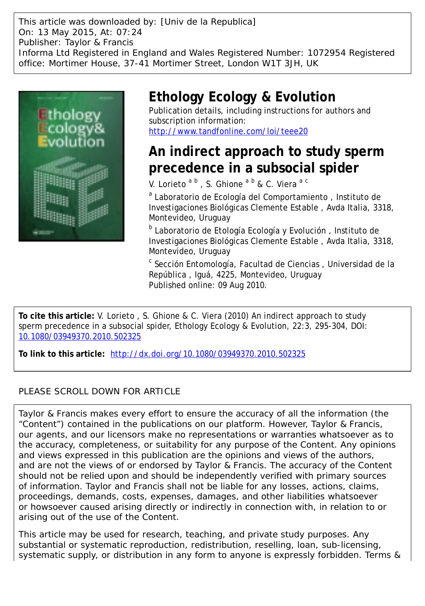This article was downloaded by: [Univ de la Republica] On: 13 May 2015, At: 07:24 Publisher: Taylor & Francis Informa Ltd Registered in England and Wales Registered Number: 1072954 Registered office: Mortimer House, 37-41 Mortimer Street, London W1T 3JH, UK



# **Ethology Ecology & Evolution**

Publication details, including instructions for authors and subscription information: <http://www.tandfonline.com/loi/teee20>

# **An indirect approach to study sperm precedence in a subsocial spider**

V. Lorieto <sup>a b</sup>, S. Ghione <sup>a b</sup> & C. Viera <sup>a c</sup>

<sup>a</sup> Laboratorio de Ecología del Comportamiento, Instituto de Investigaciones Biológicas Clemente Estable , Avda Italia, 3318, Montevideo, Uruguay

<sup>b</sup> Laboratorio de Etología Ecología y Evolución , Instituto de Investigaciones Biológicas Clemente Estable , Avda Italia, 3318, Montevideo, Uruguay

<sup>c</sup> Sección Entomología, Facultad de Ciencias, Universidad de la República , Iguá, 4225, Montevideo, Uruguay Published online: 09 Aug 2010.

**To cite this article:** V. Lorieto , S. Ghione & C. Viera (2010) An indirect approach to study sperm precedence in a subsocial spider, Ethology Ecology & Evolution, 22:3, 295-304, DOI: [10.1080/03949370.2010.502325](http://www.tandfonline.com/action/showCitFormats?doi=10.1080/03949370.2010.502325)

**To link to this article:** <http://dx.doi.org/10.1080/03949370.2010.502325>

## PLEASE SCROLL DOWN FOR ARTICLE

Taylor & Francis makes every effort to ensure the accuracy of all the information (the "Content") contained in the publications on our platform. However, Taylor & Francis, our agents, and our licensors make no representations or warranties whatsoever as to the accuracy, completeness, or suitability for any purpose of the Content. Any opinions and views expressed in this publication are the opinions and views of the authors, and are not the views of or endorsed by Taylor & Francis. The accuracy of the Content should not be relied upon and should be independently verified with primary sources of information. Taylor and Francis shall not be liable for any losses, actions, claims, proceedings, demands, costs, expenses, damages, and other liabilities whatsoever or howsoever caused arising directly or indirectly in connection with, in relation to or arising out of the use of the Content.

This article may be used for research, teaching, and private study purposes. Any substantial or systematic reproduction, redistribution, reselling, loan, sub-licensing, systematic supply, or distribution in any form to anyone is expressly forbidden. Terms &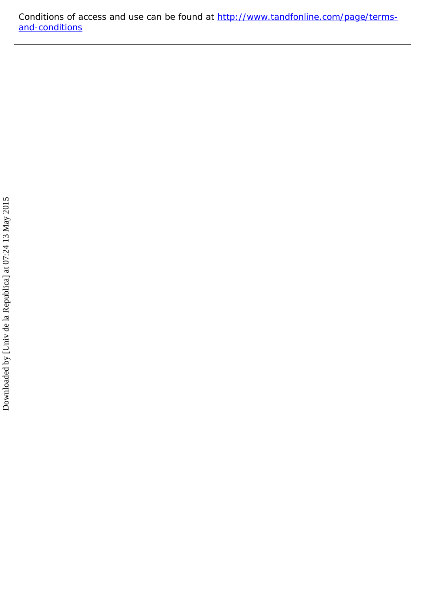Conditions of access and use can be found at [http://www.tandfonline.com/page/terms](http://www.tandfonline.com/page/terms-and-conditions)[and-conditions](http://www.tandfonline.com/page/terms-and-conditions)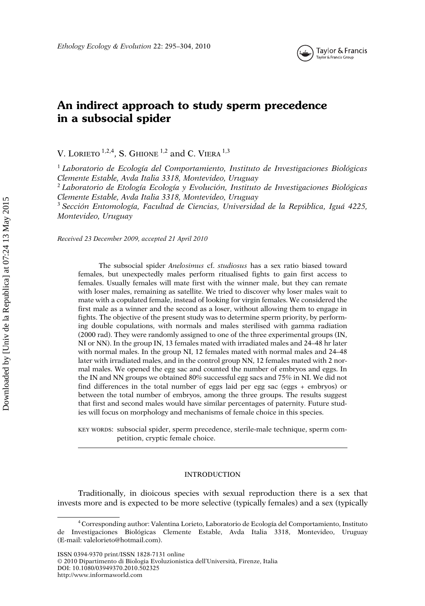

# An indirect approach to study sperm precedence **in a subsocial spider**

V. LORIETO  $^{1,2,4}$ , S. GHIONE  $^{1,2}$  and C. VIERA  $^{1,3}$ 

<sup>1</sup>*Laboratorio de Ecología del Comportamiento, Instituto de Investigaciones Biológicas Clemente Estable, Avda Italia 3318, Montevideo, Uruguay*

<sup>2</sup>*Laboratorio de Etología Ecología y Evolución, Instituto de Investigaciones Biológicas Clemente Estable, Avda Italia 3318, Montevideo, Uruguay*

<sup>3</sup>*Sección Entomología, Facultad de Ciencias, Universidad de la República, Iguá 4225, Montevideo, Uruguay*

*Received 23 December 2009, accepted 21 April 2010*

The subsocial spider *Anelosimus* cf. *studiosus* has a sex ratio biased toward females, but unexpectedly males perform ritualised fights to gain first access to females. Usually females will mate first with the winner male, but they can remate with loser males, remaining as satellite. We tried to discover why loser males wait to mate with a copulated female, instead of looking for virgin females. We considered the first male as a winner and the second as a loser, without allowing them to engage in fights. The objective of the present study was to determine sperm priority, by performing double copulations, with normals and males sterilised with gamma radiation (2000 rad). They were randomly assigned to one of the three experimental groups (IN, NI or NN). In the group IN, 13 females mated with irradiated males and 24–48 hr later with normal males. In the group NI, 12 females mated with normal males and 24–48 later with irradiated males, and in the control group NN, 12 females mated with 2 normal males. We opened the egg sac and counted the number of embryos and eggs. In the IN and NN groups we obtained 80% successful egg sacs and 75% in NI. We did not find differences in the total number of eggs laid per egg sac (eggs + embryos) or between the total number of embryos, among the three groups. The results suggest that first and second males would have similar percentages of paternity. Future studies will focus on morphology and mechanisms of female choice in this species.

KEY WORDS: subsocial spider, sperm precedence, sterile-male technique, sperm competition, cryptic female choice.

#### INTRODUCTION

Traditionally, in dioicous species with sexual reproduction there is a sex that invests more and is expected to be more selective (typically females) and a sex (typically

© 2010 Dipartimento di Biologia Evoluzionistica dell'Università, Firenze, Italia DOI: 10.1080/03949370.2010.502325

<sup>4</sup> Corresponding author: Valentina Lorieto, Laboratorio de Ecología del Comportamiento, Instituto de Investigaciones Biológicas Clemente Estable, Avda Italia 3318, Montevideo, Uruguay (E-mail: [valelorieto@hotmail.com](mailto:valelorieto@hotmail.com)).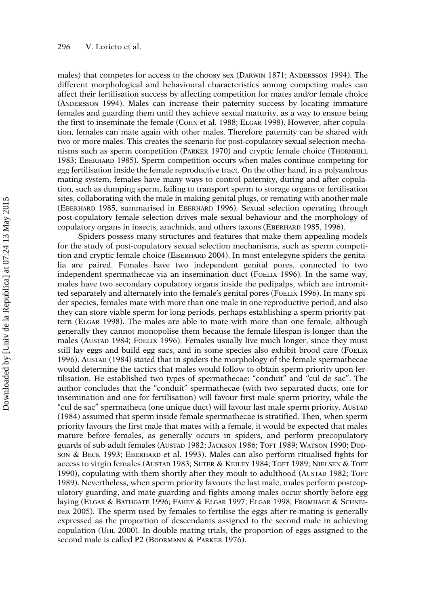males) that competes for access to the choosy sex (DARWIN 1871; ANDERSSON 1994). The different morphological and behavioural characteristics among competing males can affect their fertilisation success by affecting competition for mates and/or female choice (ANDERSSON 1994). Males can increase their paternity success by locating immature females and guarding them until they achieve sexual maturity, as a way to ensure being the first to inseminate the female (COHN et al. 1988; ELGAR 1998). However, after copulation, females can mate again with other males. Therefore paternity can be shared with two or more males. This creates the scenario for post-copulatory sexual selection mechanisms such as sperm competition (PARKER 1970) and cryptic female choice (THORNHILL 1983; EBERHARD 1985). Sperm competition occurs when males continue competing for egg fertilisation inside the female reproductive tract. On the other hand, in a polyandrous mating system, females have many ways to control paternity, during and after copulation, such as dumping sperm, failing to transport sperm to storage organs or fertilisation sites, collaborating with the male in making genital plugs, or remating with another male (EBERHARD 1985, summarised in EBERHARD 1996). Sexual selection operating through post-copulatory female selection drives male sexual behaviour and the morphology of copulatory organs in insects, arachnids, and others taxons (EBERHARD 1985, 1996).

Spiders possess many structures and features that make them appealing models for the study of post-copulatory sexual selection mechanisms, such as sperm competition and cryptic female choice (EBERHARD 2004). In most entelegyne spiders the genitalia are paired. Females have two independent genital pores, connected to two independent spermathecae via an insemination duct (FOELIX 1996). In the same way, males have two secondary copulatory organs inside the pedipalps, which are intromitted separately and alternately into the female's genital pores (FOELIX 1996). In many spider species, females mate with more than one male in one reproductive period, and also they can store viable sperm for long periods, perhaps establishing a sperm priority pattern (ELGAR 1998). The males are able to mate with more than one female, although generally they cannot monopolise them because the female lifespan is longer than the males (AUSTAD 1984; FOELIX 1996). Females usually live much longer, since they must still lay eggs and build egg sacs, and in some species also exhibit brood care (FOELIX 1996). AUSTAD (1984) stated that in spiders the morphology of the female spermathecae would determine the tactics that males would follow to obtain sperm priority upon fertilisation. He established two types of spermathecae: "conduit" and "cul de sac". The author concludes that the "conduit" spermathecae (with two separated ducts, one for insemination and one for fertilisation) will favour first male sperm priority, while the "cul de sac" spermatheca (one unique duct) will favour last male sperm priority. AUSTAD (1984) assumed that sperm inside female spermathecae is stratified. Then, when sperm priority favours the first male that mates with a female, it would be expected that males mature before females, as generally occurs in spiders, and perform precopulatory guards of sub-adult females (AUSTAD 1982; JACKSON 1986; TOFT 1989; WATSON 1990; DOD-SON & BECK 1993; EBERHARD et al. 1993). Males can also perform ritualised fights for access to virgin females (AUSTAD 1983; SUTER & KEILEY 1984; TOFT 1989; NIELSEN & TOFT 1990), copulating with them shortly after they moult to adulthood (AUSTAD 1982; TOFT 1989). Nevertheless, when sperm priority favours the last male, males perform postcopulatory guarding, and mate guarding and fights among males occur shortly before egg laying (ELGAR & BATHGATE 1996; FAHEY & ELGAR 1997; ELGAR 1998; FROMHAGE & SCHNEI-DER 2005). The sperm used by females to fertilise the eggs after re-mating is generally expressed as the proportion of descendants assigned to the second male in achieving copulation (UHL 2000). In double mating trials, the proportion of eggs assigned to the second male is called P2 (BOORMANN & PARKER 1976).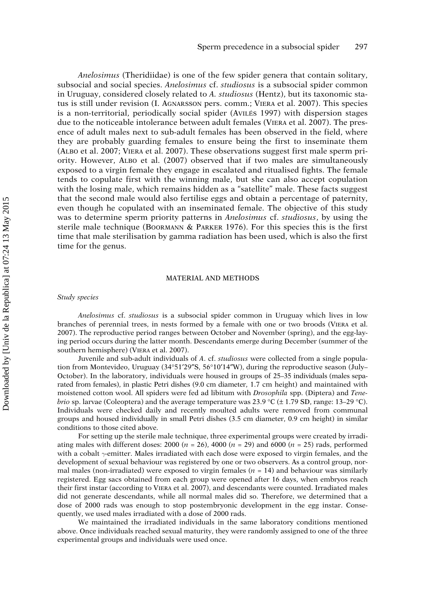*Anelosimus* (Theridiidae) is one of the few spider genera that contain solitary, subsocial and social species. *Anelosimus* cf. *studiosus* is a subsocial spider common in Uruguay, considered closely related to *A. studiosus* (Hentz), but its taxonomic status is still under revision (I. AGNARSSON pers. comm.; VIERA et al. 2007). This species is a non-territorial, periodically social spider (AVILÉS 1997) with dispersion stages due to the noticeable intolerance between adult females (VIERA et al. 2007). The presence of adult males next to sub-adult females has been observed in the field, where they are probably guarding females to ensure being the first to inseminate them (ALBO et al. 2007; VIERA et al. 2007). These observations suggest first male sperm priority. However, ALBO et al. (2007) observed that if two males are simultaneously exposed to a virgin female they engage in escalated and ritualised fights. The female tends to copulate first with the winning male, but she can also accept copulation with the losing male, which remains hidden as a "satellite" male. These facts suggest that the second male would also fertilise eggs and obtain a percentage of paternity, even though he copulated with an inseminated female. The objective of this study was to determine sperm priority patterns in *Anelosimus* cf. *studiosus*, by using the sterile male technique (BOORMANN & PARKER 1976). For this species this is the first time that male sterilisation by gamma radiation has been used, which is also the first time for the genus.

#### MATERIAL AND METHODS

#### *Study species*

*Anelosimus* cf. *studiosus* is a subsocial spider common in Uruguay which lives in low branches of perennial trees, in nests formed by a female with one or two broods (VIERA et al. 2007). The reproductive period ranges between October and November (spring), and the egg-laying period occurs during the latter month. Descendants emerge during December (summer of the southern hemisphere) (VIERA et al. 2007).

Juvenile and sub-adult individuals of *A*. cf. *studiosus* were collected from a single population from Montevideo, Uruguay (34°51′29″S, 56°10′14″W), during the reproductive season (July– October). In the laboratory, individuals were housed in groups of 25–35 individuals (males separated from females), in plastic Petri dishes (9.0 cm diameter, 1.7 cm height) and maintained with moistened cotton wool. All spiders were fed ad libitum with *Drosophila* spp. (Diptera) and *Tenebrio* sp. larvae (Coleoptera) and the average temperature was 23.9 °C ( $\pm$  1.79 SD, range: 13–29 °C). Individuals were checked daily and recently moulted adults were removed from communal groups and housed individually in small Petri dishes (3.5 cm diameter, 0.9 cm height) in similar conditions to those cited above.

For setting up the sterile male technique, three experimental groups were created by irradiating males with different doses: 2000 (*n* = 26), 4000 (*n* = 29) and 6000 (*n* = 25) rads, performed with a cobalt *g*-emitter. Males irradiated with each dose were exposed to virgin females, and the development of sexual behaviour was registered by one or two observers. As a control group, normal males (non-irradiated) were exposed to virgin females ( $n = 14$ ) and behaviour was similarly registered. Egg sacs obtained from each group were opened after 16 days, when embryos reach their first instar (according to VIERA et al. 2007), and descendants were counted. Irradiated males did not generate descendants, while all normal males did so. Therefore, we determined that a dose of 2000 rads was enough to stop postembryonic development in the egg instar. Consequently, we used males irradiated with a dose of 2000 rads.

We maintained the irradiated individuals in the same laboratory conditions mentioned above. Once individuals reached sexual maturity, they were randomly assigned to one of the three experimental groups and individuals were used once.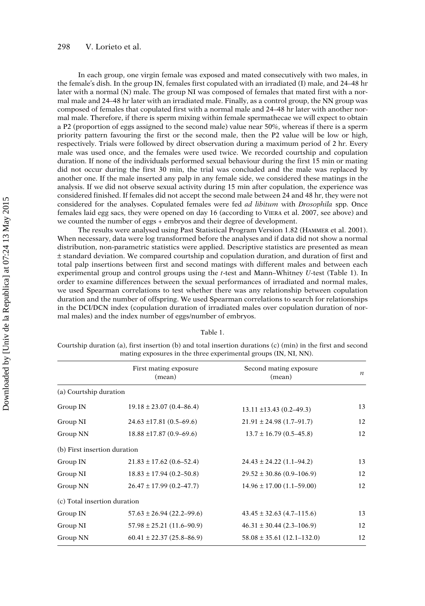In each group, one virgin female was exposed and mated consecutively with two males, in the female's dish. In the group IN, females first copulated with an irradiated (I) male, and 24–48 hr later with a normal (N) male. The group NI was composed of females that mated first with a normal male and 24–48 hr later with an irradiated male. Finally, as a control group, the NN group was composed of females that copulated first with a normal male and 24–48 hr later with another normal male. Therefore, if there is sperm mixing within female spermathecae we will expect to obtain a P2 (proportion of eggs assigned to the second male) value near 50%, whereas if there is a sperm priority pattern favouring the first or the second male, then the P2 value will be low or high, respectively. Trials were followed by direct observation during a maximum period of 2 hr. Every male was used once, and the females were used twice. We recorded courtship and copulation duration. If none of the individuals performed sexual behaviour during the first 15 min or mating did not occur during the first 30 min, the trial was concluded and the male was replaced by another one. If the male inserted any palp in any female side, we considered these matings in the analysis. If we did not observe sexual activity during 15 min after copulation, the experience was considered finished. If females did not accept the second male between 24 and 48 hr, they were not considered for the analyses. Copulated females were fed *ad libitum* with *Drosophila* spp. Once females laid egg sacs, they were opened on day 16 (according to VIERA et al. 2007, see above) and we counted the number of eggs + embryos and their degree of development.

The results were analysed using Past Statistical Program Version 1.82 (HAMMER et al. 2001). When necessary, data were log transformed before the analyses and if data did not show a normal distribution, non-parametric statistics were applied. Descriptive statistics are presented as mean ± standard deviation. We compared courtship and copulation duration, and duration of first and total palp insertions between first and second matings with different males and between each experimental group and control groups using the *t*-test and Mann–Whitney *U*-test (Table 1). In order to examine differences between the sexual performances of irradiated and normal males, we used Spearman correlations to test whether there was any relationship between copulation duration and the number of offspring. We used Spearman correlations to search for relationships in the DCI/DCN index (copulation duration of irradiated males over copulation duration of normal males) and the index number of eggs/number of embryos.

#### Table 1.

Courtship duration (a), first insertion (b) and total insertion durations (c) (min) in the first and second mating exposures in the three experimental groups (IN, NI, NN).

|                              | First mating exposure<br>(mean) | Second mating exposure<br>(mean) | $\boldsymbol{n}$ |
|------------------------------|---------------------------------|----------------------------------|------------------|
| (a) Courtship duration       |                                 |                                  |                  |
| Group IN                     | $19.18 \pm 23.07(0.4 - 86.4)$   | $13.11 \pm 13.43 (0.2 - 49.3)$   | 13               |
| Group NI                     | $24.63 \pm 17.81 (0.5 - 69.6)$  | $21.91 \pm 24.98$ (1.7–91.7)     | 12               |
| Group NN                     | $18.88 \pm 17.87(0.9 - 69.6)$   | $13.7 \pm 16.79$ (0.5–45.8)      | 12               |
| (b) First insertion duration |                                 |                                  |                  |
| Group IN                     | $21.83 \pm 17.62 (0.6 - 52.4)$  | $24.43 \pm 24.22$ (1.1–94.2)     | 13               |
| Group NI                     | $18.83 \pm 17.94 (0.2 - 50.8)$  | $29.52 \pm 30.86$ (0.9-106.9)    | 12               |
| Group NN                     | $26.47 \pm 17.99(0.2 - 47.7)$   | $14.96 \pm 17.00$ (1.1-59.00)    | 12               |
| (c) Total insertion duration |                                 |                                  |                  |
| Group IN                     | $57.63 \pm 26.94 (22.2 - 99.6)$ | $43.45 \pm 32.63$ (4.7–115.6)    | 13               |
| Group NI                     | $57.98 \pm 25.21 (11.6 - 90.9)$ | $46.31 \pm 30.44 (2.3 - 106.9)$  | 12               |
| Group NN                     | $60.41 \pm 22.37 (25.8 - 86.9)$ | $58.08 \pm 35.61$ (12.1–132.0)   | 12               |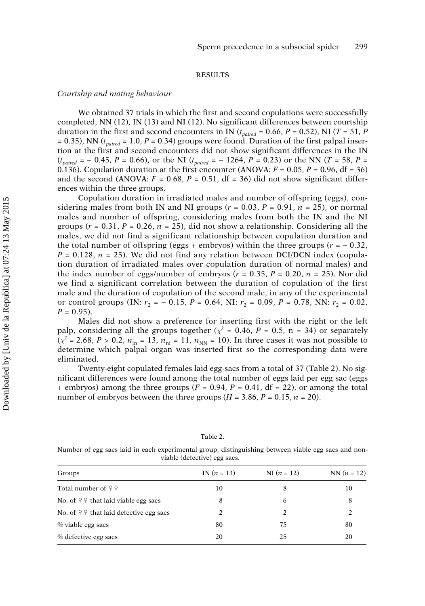#### RESULTS

### *Courtship and mating behaviour*

We obtained 37 trials in which the first and second copulations were successfully completed, NN (12), IN (13) and NI (12). No significant differences between courtship duration in the first and second encounters in IN ( $t_{paired}$  = 0.66, *P* = 0.52), NI (*T* = 51, *P*  $= 0.35$ ), NN ( $t_{paired} = 1.0$ ,  $P = 0.34$ ) groups were found. Duration of the first palpal insertion at the first and second encounters did not show significant differences in the IN (*tpaired* = − 0.45, *P* = 0.66), or the NI (*tpaired* = − 1264, *P* = 0.23) or the NN (*T* = 58, *P* = 0.136). Copulation duration at the first encounter (ANOVA:  $F = 0.05$ ,  $P = 0.96$ , df = 36) and the second (ANOVA:  $F = 0.68$ ,  $P = 0.51$ , df = 36) did not show significant differences within the three groups.

Copulation duration in irradiated males and number of offspring (eggs), considering males from both IN and NI groups ( $r = 0.03$ ,  $P = 0.91$ ,  $n = 25$ ), or normal males and number of offspring, considering males from both the IN and the NI groups  $(r = 0.31, P = 0.26, n = 25)$ , did not show a relationship. Considering all the males, we did not find a significant relationship between copulation duration and the total number of offspring (eggs + embryos) within the three groups  $(r = -0.32)$ ,  $P = 0.128$ ,  $n = 25$ ). We did not find any relation between DCI/DCN index (copulation duration of irradiated males over copulation duration of normal males) and the index number of eggs/number of embryos ( $r = 0.35$ ,  $P = 0.20$ ,  $n = 25$ ). Nor did we find a significant correlation between the duration of copulation of the first male and the duration of copulation of the second male, in any of the experimental or control groups (IN: *r*<sub>2</sub> = − 0.15, *P* = 0.64, NI: *r*<sub>2</sub> = 0.09, *P* = 0.78, NN: *r*<sub>2</sub> = 0.02,  $P = 0.95$ .

Males did not show a preference for inserting first with the right or the left palp, considering all the groups together ( $\chi^2$  = 0.46, *P* = 0.5, n = 34) or separately  $(\chi^2 = 2.68, P > 0.2, n_{\text{in}} = 13, n_{\text{ni}} = 11, n_{\text{NN}} = 10)$ . In three cases it was not possible to determine which palpal organ was inserted first so the corresponding data were eliminated.

Twenty-eight copulated females laid egg-sacs from a total of 37 (Table 2). No significant differences were found among the total number of eggs laid per egg sac (eggs + embryos) among the three groups  $(F = 0.94, P = 0.41, df = 22)$ , or among the total number of embryos between the three groups ( $H = 3.86$ ,  $P = 0.15$ ,  $n = 20$ ).

Groups  $IN (n = 13)$   $NI (n = 12)$   $NN (n = 12)$ Total number of  $99$  $\frac{6}{7}$  and  $\frac{10}{10}$  and  $\frac{8}{10}$  and  $\frac{10}{10}$ No. of  $99$  that laid viable egg sacs  $8$  6 6 8 8 No. of -- that laid defective egg sacs 2 2 2

% viable egg sacs 80 80 75 80 % defective egg sacs 20 25 20

Table 2.

Number of egg sacs laid in each experimental group, distinguishing between viable egg sacs and nonviable (defective) egg sacs.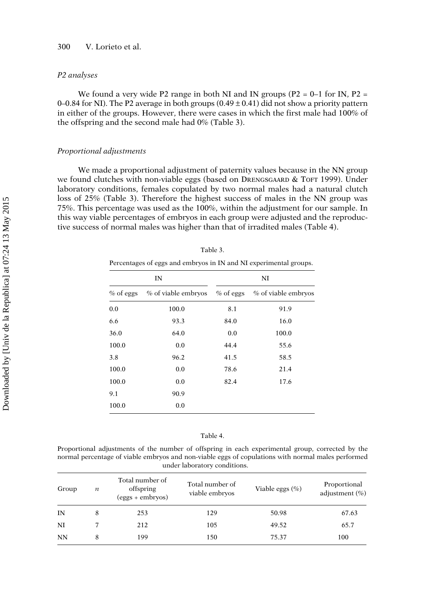## *P2 analyses*

We found a very wide P2 range in both NI and IN groups ( $P2 = 0-1$  for IN,  $P2 =$ 0–0.84 for NI). The P2 average in both groups  $(0.49 \pm 0.41)$  did not show a priority pattern in either of the groups. However, there were cases in which the first male had 100% of the offspring and the second male had 0% (Table 3).

#### *Proportional adjustments*

We made a proportional adjustment of paternity values because in the NN group we found clutches with non-viable eggs (based on DRENGSGAARD & TOFT 1999). Under laboratory conditions, females copulated by two normal males had a natural clutch loss of 25% (Table 3). Therefore the highest success of males in the NN group was 75%. This percentage was used as the 100%, within the adjustment for our sample. In this way viable percentages of embryos in each group were adjusted and the reproductive success of normal males was higher than that of irradited males (Table 4).

| IN          |                     | NI   |                               |  |
|-------------|---------------------|------|-------------------------------|--|
| $%$ of eggs | % of viable embryos |      | % of eggs % of viable embryos |  |
| 0.0         | 100.0               | 8.1  | 91.9                          |  |
| 6.6         | 93.3                | 84.0 | 16.0                          |  |
| 36.0        | 64.0                | 0.0  | 100.0                         |  |
| 100.0       | 0.0                 | 44.4 | 55.6                          |  |
| 3.8         | 96.2                | 41.5 | 58.5                          |  |
| 100.0       | 0.0                 | 78.6 | 21.4                          |  |
| 100.0       | 0.0                 | 82.4 | 17.6                          |  |
| 9.1         | 90.9                |      |                               |  |
| 100.0       | 0.0                 |      |                               |  |
|             |                     |      |                               |  |

Table 3. Percentages of eggs and embryos in IN and NI experimental groups.

| ı | nie |  |
|---|-----|--|
|   |     |  |

Proportional adjustments of the number of offspring in each experimental group, corrected by the normal percentage of viable embryos and non-viable eggs of copulations with normal males performed under laboratory conditions.

| Group     | п | Total number of<br>offspring<br>$(eggs + embryos)$ | Total number of<br>viable embryos | Viable eggs $(\% )$ | Proportional<br>adjustment $(\% )$ |
|-----------|---|----------------------------------------------------|-----------------------------------|---------------------|------------------------------------|
| IN        | 8 | 253                                                | 129                               | 50.98               | 67.63                              |
| NI        |   | 212                                                | 105                               | 49.52               | 65.7                               |
| <b>NN</b> | 8 | 199                                                | 150                               | 75.37               | 100                                |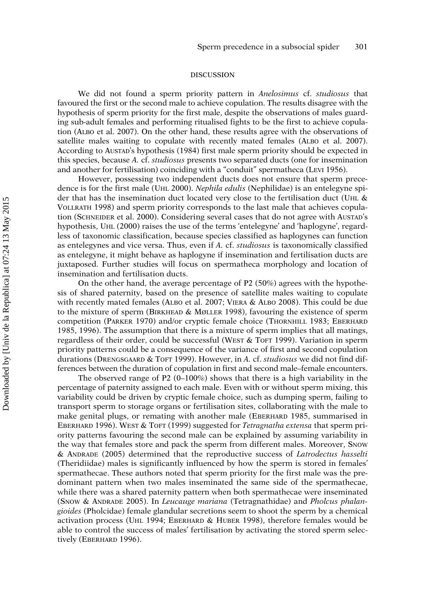### DISCUSSION

We did not found a sperm priority pattern in *Anelosimus* cf. *studiosus* that favoured the first or the second male to achieve copulation. The results disagree with the hypothesis of sperm priority for the first male, despite the observations of males guarding sub-adult females and performing ritualised fights to be the first to achieve copulation (ALBO et al. 2007). On the other hand, these results agree with the observations of satellite males waiting to copulate with recently mated females (ALBO et al. 2007). According to AUSTAD's hypothesis (1984) first male sperm priority should be expected in this species, because *A.* cf. *studiosus* presents two separated ducts (one for insemination and another for fertilisation) coinciding with a "conduit" spermatheca (LEVI 1956).

However, possessing two independent ducts does not ensure that sperm precedence is for the first male (UHL 2000). *Nephila edulis* (Nephilidae) is an entelegyne spider that has the insemination duct located very close to the fertilisation duct (UHL & VOLLRATH 1998) and sperm priority corresponds to the last male that achieves copulation (SCHNEIDER et al. 2000). Considering several cases that do not agree with AUSTAD's hypothesis, UHL (2000) raises the use of the terms 'entelegyne' and 'haplogyne', regardless of taxonomic classification, because species classified as haplogynes can function as entelegynes and vice versa. Thus, even if *A.* cf. *studiosus* is taxonomically classified as entelegyne, it might behave as haplogyne if insemination and fertilisation ducts are juxtaposed. Further studies will focus on spermatheca morphology and location of insemination and fertilisation ducts.

On the other hand, the average percentage of P2 (50%) agrees with the hypothesis of shared paternity, based on the presence of satellite males waiting to copulate with recently mated females (ALBO et al. 2007; VIERA & ALBO 2008). This could be due to the mixture of sperm (BIRKHEAD & MØLLER 1998), favouring the existence of sperm competition (PARKER 1970) and/or cryptic female choice (THORNHILL 1983; EBERHARD 1985, 1996). The assumption that there is a mixture of sperm implies that all matings, regardless of their order, could be successful (WEST & TOFT 1999). Variation in sperm priority patterns could be a consequence of the variance of first and second copulation durations (DRENGSGAARD & TOFT 1999). However, in *A.* cf. *studiosus* we did not find differences between the duration of copulation in first and second male–female encounters.

The observed range of P2 (0–100%) shows that there is a high variability in the percentage of paternity assigned to each male. Even with or without sperm mixing, this variability could be driven by cryptic female choice, such as dumping sperm, failing to transport sperm to storage organs or fertilisation sites, collaborating with the male to make genital plugs, or remating with another male (EBERHARD 1985, summarised in EBERHARD 1996). WEST & TOFT (1999) suggested for *Tetragnatha extensa* that sperm priority patterns favouring the second male can be explained by assuming variability in the way that females store and pack the sperm from different males. Moreover, SNOW & ANDRADE (2005) determined that the reproductive success of *Latrodectus hasselti* (Theridiidae) males is significantly influenced by how the sperm is stored in females' spermathecae. These authors noted that sperm priority for the first male was the predominant pattern when two males inseminated the same side of the spermathecae, while there was a shared paternity pattern when both spermathecae were inseminated (SNOW & ANDRADE 2005). In *Leucauge mariana* (Tetragnathidae) and *Pholcus phalangioides* (Pholcidae) female glandular secretions seem to shoot the sperm by a chemical activation process (UHL 1994; EBERHARD & HUBER 1998), therefore females would be able to control the success of males' fertilisation by activating the stored sperm selectively (EBERHARD 1996).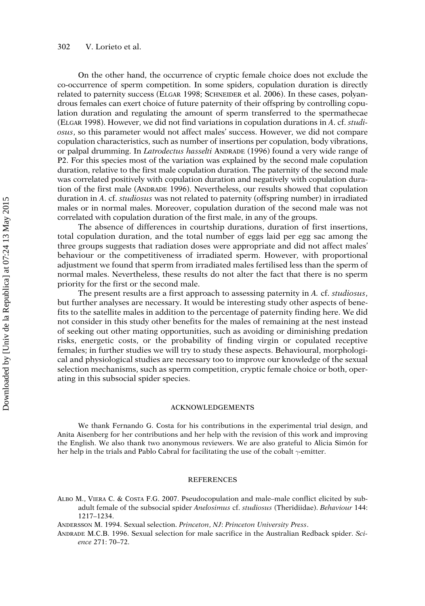On the other hand, the occurrence of cryptic female choice does not exclude the co-occurrence of sperm competition. In some spiders, copulation duration is directly related to paternity success (ELGAR 1998; SCHNEIDER et al. 2006). In these cases, polyandrous females can exert choice of future paternity of their offspring by controlling copulation duration and regulating the amount of sperm transferred to the spermathecae (ELGAR 1998). However, we did not find variations in copulation durations in *A*. cf. *studiosus*, so this parameter would not affect males' success. However, we did not compare copulation characteristics, such as number of insertions per copulation, body vibrations, or palpal drumming. In *Latrodectus hasselti* ANDRADE (1996) found a very wide range of P2. For this species most of the variation was explained by the second male copulation duration, relative to the first male copulation duration. The paternity of the second male was correlated positively with copulation duration and negatively with copulation duration of the first male (ANDRADE 1996). Nevertheless, our results showed that copulation duration in *A*. cf. *studiosus* was not related to paternity (offspring number) in irradiated males or in normal males. Moreover, copulation duration of the second male was not correlated with copulation duration of the first male, in any of the groups.

The absence of differences in courtship durations, duration of first insertions, total copulation duration, and the total number of eggs laid per egg sac among the three groups suggests that radiation doses were appropriate and did not affect males' behaviour or the competitiveness of irradiated sperm. However, with proportional adjustment we found that sperm from irradiated males fertilised less than the sperm of normal males. Nevertheless, these results do not alter the fact that there is no sperm priority for the first or the second male.

The present results are a first approach to assessing paternity in *A.* cf. *studiosus*, but further analyses are necessary. It would be interesting study other aspects of benefits to the satellite males in addition to the percentage of paternity finding here. We did not consider in this study other benefits for the males of remaining at the nest instead of seeking out other mating opportunities, such as avoiding or diminishing predation risks, energetic costs, or the probability of finding virgin or copulated receptive females; in further studies we will try to study these aspects. Behavioural, morphological and physiological studies are necessary too to improve our knowledge of the sexual selection mechanisms, such as sperm competition, cryptic female choice or both, operating in this subsocial spider species.

#### ACKNOWLEDGEMENTS

We thank Fernando G. Costa for his contributions in the experimental trial design, and Anita Aisenberg for her contributions and her help with the revision of this work and improving the English. We also thank two anonymous reviewers. We are also grateful to Alicia Simón for her help in the trials and Pablo Cabral for facilitating the use of the cobalt *g*-emitter.

#### **REFERENCES**

ALBO M., VIERA C. & COSTA F.G. 2007. Pseudocopulation and male–male conflict elicited by subadult female of the subsocial spider *Anelosimus* cf. *studiosus* (Theridiidae). *Behaviour* 144: 1217–1234.

ANDERSSON M. 1994. Sexual selection. *Princeton*, *NJ*: *Princeton University Press*.

ANDRADE M.C.B. 1996. Sexual selection for male sacrifice in the Australian Redback spider. *Science* 271: 70–72.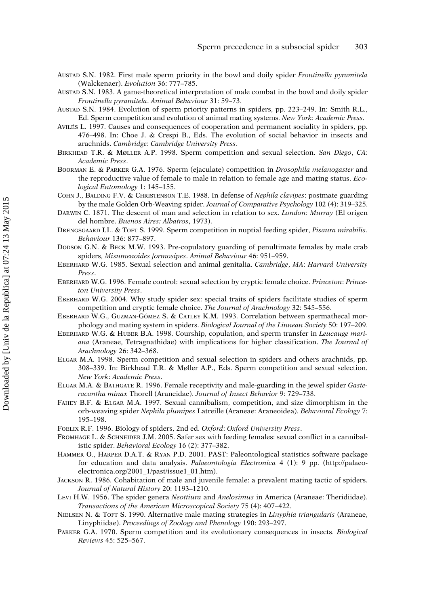- AUSTAD S.N. 1982. First male sperm priority in the bowl and doily spider *Frontinella pyramitela* (Walckenaer). *Evolution* 36: 777–785.
- AUSTAD S.N. 1983. A game-theoretical interpretation of male combat in the bowl and doily spider *Frontinella pyramitela*. *Animal Behaviour* 31: 59–73.
- AUSTAD S.N. 1984. Evolution of sperm priority patterns in spiders, pp. 223–249. In: Smith R.L., Ed. Sperm competition and evolution of animal mating systems. *New York*: *Academic Press*.
- AVILÉS L. 1997. Causes and consequences of cooperation and permanent sociality in spiders, pp. 476–498. In: Choe J. & Crespi B., Eds. The evolution of social behavior in insects and arachnids. *Cambridge*: *Cambridge University Press*.
- BIRKHEAD T.R. & MØLLER A.P. 1998. Sperm competition and sexual selection. *San Diego*, *CA*: *Academic Press*.
- BOORMAN E. & PARKER G.A. 1976. Sperm (ejaculate) competition in *Drosophila melanogaster* and the reproductive value of female to male in relation to female age and mating status. *Ecological Entomology* 1: 145–155.
- COHN J., BALDING F.V. & CHRISTENSON T.E. 1988. In defense of *Nephila clavipes*: postmate guarding by the male Golden Orb-Weaving spider. *Journal of Comparative Psychology* 102 (4): 319–325.
- DARWIN C. 1871. The descent of man and selection in relation to sex. *London*: *Murray* (El origen del hombre. *Buenos Aires: Albatros*, 1973).
- DRENGSGAARD I.L. & TOFT S. 1999. Sperm competition in nuptial feeding spider, *Pisaura mirabilis. Behaviour* 136: 877–897.
- DODSON G.N. & BECK M.W. 1993. Pre-copulatory guarding of penultimate females by male crab spiders, *Misumenoides formosipes*. *Animal Behaviour* 46: 951–959.
- EBERHARD W.G. 1985. Sexual selection and animal genitalia. *Cambridge*, *MA*: *Harvard University Press*.
- EBERHARD W.G. 1996. Female control: sexual selection by cryptic female choice. *Princeton*: *Princeton University Press*.
- EBERHARD W.G. 2004. Why study spider sex: special traits of spiders facilitate studies of sperm competition and cryptic female choice. *The Journal of Arachnology* 32: 545–556.
- EBERHARD W.G., GUZMAN-GÓMEZ S. & CATLEY K.M. 1993. Correlation between spermathecal morphology and mating system in spiders. *Biological Journal of the Linnean Society* 50: 197–209.
- EBERHARD W.G. & HUBER B.A. 1998. Courship, copulation, and sperm transfer in *Leucauge mariana* (Araneae, Tetragnathidae) with implications for higher classification. *The Journal of Arachnology* 26: 342–368.
- ELGAR M.A. 1998. Sperm competition and sexual selection in spiders and others arachnids, pp. 308–339. In: Birkhead T.R. & Møller A.P., Eds. Sperm competition and sexual selection. *New York*: *Academic Press*.
- ELGAR M.A. & BATHGATE R. 1996. Female receptivity and male-guarding in the jewel spider *Gasteracantha minax* Thorell (Araneidae). *Journal of Insect Behavior* 9: 729–738.
- FAHEY B.F. & ELGAR M.A. 1997. Sexual cannibalism, competition, and size dimorphism in the orb-weaving spider *Nephila plumipes* Latreille (Araneae: Araneoidea). *Behavioral Ecology* 7: 195–198.
- FOELIX R.F. 1996. Biology of spiders, 2nd ed. *Oxford*: *Oxford University Press*.
- FROMHAGE L. & SCHNEIDER J.M. 2005. Safer sex with feeding females: sexual conflict in a cannibalistic spider. *Behavioral Ecology* 16 (2): 377–382.
- HAMMER O., HARPER D.A.T. & RYAN P.D. 2001. PAST: Paleontological statistics software package for education and data analysis. *Palaeontologia Electronica* 4 (1): 9 pp. ([http://pa](http://palaeo-electronica.org/2001_1/past/issue1_01.htm)laeo[electronica.org/2001\\_1/past/issue1\\_01.htm\).](http://palaeo-electronica.org/2001_1/past/issue1_01.htm)
- JACKSON R. 1986. Cohabitation of male and juvenile female: a prevalent mating tactic of spiders. *Journal of Natural History* 20: 1193–1210.
- LEVI H.W. 1956. The spider genera *Neottiura* and *Anelosimus* in America (Araneae: Theridiidae). *Transactions of the American Microscopical Society* 75 (4): 407–422.
- NIELSEN N. & TOFT S. 1990. Alternative male mating strategies in *Linyphia triangularis* (Araneae, Linyphiidae). *Proceedings of Zoology and Phenology* 190: 293–297.
- PARKER G.A. 1970. Sperm competition and its evolutionary consequences in insects. *Biological Reviews* 45: 525–567.